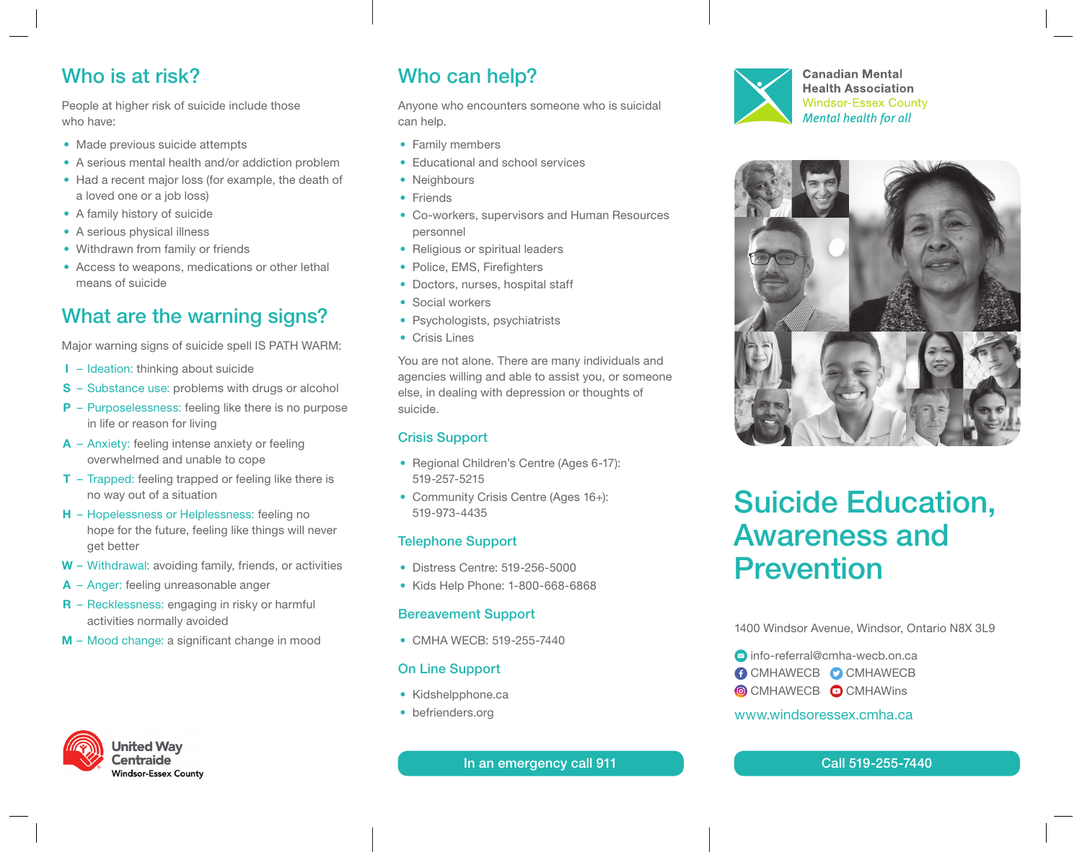## Who is at risk?

People at higher risk of suicide include those who have:

- Made previous suicide attempts
- A serious mental health and/or addiction problem
- Had a recent major loss (for example, the death of a loved one or a job loss)
- A family history of suicide
- A serious physical illness
- Withdrawn from family or friends
- Access to weapons, medications or other lethal means of suicide

## What are the warning signs?

Major warning signs of suicide spell IS PATH WARM:

- I Ideation: thinking about suicide
- S Substance use: problems with drugs or alcohol
- **P** Purposelessness: feeling like there is no purpose in life or reason for living
- A Anxiety: feeling intense anxiety or feeling overwhelmed and unable to cope
- $T Trapped: feeling trapped or feeling like there is$ no way out of a situation
- **H** Hopelessness or Helplessness: feeling no hope for the future, feeling like things will never get better
- W Withdrawal: avoiding family, friends, or activities
- A Anger: feeling unreasonable anger
- R Recklessness: engaging in risky or harmful activities normally avoided
- M Mood change: a significant change in mood



## Who can help?

Anyone who encounters someone who is suicidal can help.

- Family members
- Educational and school services
- Neighbours
- Friends
- Co-workers, supervisors and Human Resources personnel
- Religious or spiritual leaders
- Police, EMS, Firefighters
- Doctors, nurses, hospital staff
- Social workers
- Psychologists, psychiatrists
- Crisis Lines

You are not alone. There are many individuals and agencies willing and able to assist you, or someone else, in dealing with depression or thoughts of suicide.

## Crisis Support

- Regional Children's Centre (Ages 6-17): 519-257-5215
- Community Crisis Centre (Ages 16+): 519-973-4435

#### Telephone Support

- Distress Centre: 519-256-5000
- Kids Help Phone: 1-800-668-6868

#### Bereavement Support

• CMHA WECB: 519-255-7440

#### On Line Support

- Kidshelpphone.ca
- befrienders.org

In an emergency call 911 Call 519-255-7440



**Canadian Mental Health Association Windsor-Essex County Mental health for all** 



# Suicide Education, Awareness and Prevention

1400 Windsor Avenue, Windsor, Ontario N8X 3L9

**■** info-referral@cmha-wecb.on.ca

- **COMHAWECB COMHAWECB**
- **COMHAWECB COMHAWING**

#### www.windsoressex.cmha.ca